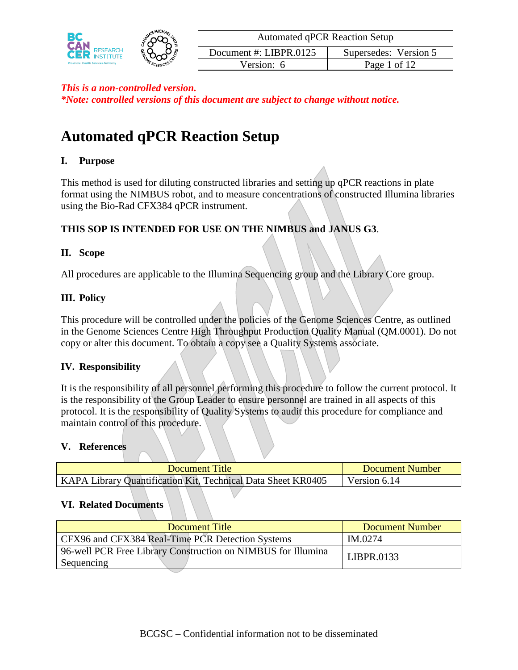

*\*Note: controlled versions of this document are subject to change without notice.*

# **Automated qPCR Reaction Setup**

#### **I. Purpose**

This method is used for diluting constructed libraries and setting up qPCR reactions in plate format using the NIMBUS robot, and to measure concentrations of constructed Illumina libraries using the Bio-Rad CFX384 qPCR instrument.

#### **THIS SOP IS INTENDED FOR USE ON THE NIMBUS and JANUS G3**.

#### **II. Scope**

All procedures are applicable to the Illumina Sequencing group and the Library Core group.

#### **III. Policy**

This procedure will be controlled under the policies of the Genome Sciences Centre, as outlined in the Genome Sciences Centre High Throughput Production Quality Manual (QM.0001). Do not copy or alter this document. To obtain a copy see a Quality Systems associate.

#### **IV. Responsibility**

It is the responsibility of all personnel performing this procedure to follow the current protocol. It is the responsibility of the Group Leader to ensure personnel are trained in all aspects of this protocol. It is the responsibility of Quality Systems to audit this procedure for compliance and maintain control of this procedure.

#### **V. References**

| Document Title                                               | Document Number |
|--------------------------------------------------------------|-----------------|
| KAPA Library Quantification Kit, Technical Data Sheet KR0405 | Version 6.14    |

#### **VI. Related Documents**

| Document Title                                                             | <b>Document Number</b> |
|----------------------------------------------------------------------------|------------------------|
| CFX96 and CFX384 Real-Time PCR Detection Systems                           | IM.0274                |
| 96-well PCR Free Library Construction on NIMBUS for Illumina<br>Sequencing | LIBPR.0133             |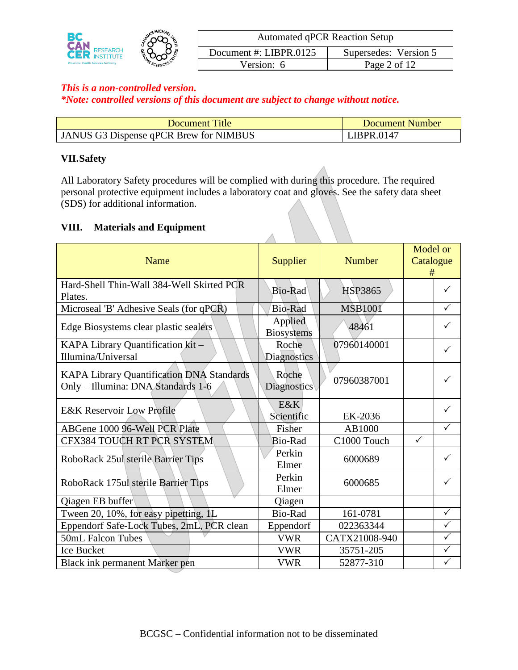

*\*Note: controlled versions of this document are subject to change without notice.*

| <b>Document Title</b>                  | Document Number |
|----------------------------------------|-----------------|
| JANUS G3 Dispense qPCR Brew for NIMBUS | LIBPR.0147      |

## **VII.Safety**

All Laboratory Safety procedures will be complied with during this procedure. The required personal protective equipment includes a laboratory coat and gloves. See the safety data sheet (SDS) for additional information.

#### **VIII. Materials and Equipment**

| Name                                                                            | Supplier                     | <b>Number</b>  | Model or<br>Catalogue<br># |  |
|---------------------------------------------------------------------------------|------------------------------|----------------|----------------------------|--|
| Hard-Shell Thin-Wall 384-Well Skirted PCR<br>Plates.                            | Bio-Rad                      | <b>HSP3865</b> | ✓                          |  |
| Microseal 'B' Adhesive Seals (for qPCR)                                         | Bio-Rad                      | <b>MSB1001</b> | ✓                          |  |
| Edge Biosystems clear plastic sealers                                           | Applied<br><b>Biosystems</b> | 48461          | ✓                          |  |
| KAPA Library Quantification kit -<br>Illumina/Universal                         | Roche<br>Diagnostics         | 07960140001    | $\checkmark$               |  |
| KAPA Library Quantification DNA Standards<br>Only - Illumina: DNA Standards 1-6 | Roche<br><b>Diagnostics</b>  | 07960387001    | ✓                          |  |
| <b>E&amp;K Reservoir Low Profile</b>                                            | E&K<br>Scientific            | EK-2036        | $\checkmark$               |  |
| ABGene 1000 96-Well PCR Plate                                                   | Fisher                       | AB1000         | $\checkmark$               |  |
| <b>CFX384 TOUCH RT PCR SYSTEM</b>                                               | <b>Bio-Rad</b>               | C1000 Touch    | $\checkmark$               |  |
| RoboRack 25ul sterile Barrier Tips                                              | Perkin<br>Elmer              | 6000689        | $\checkmark$               |  |
| RoboRack 175ul sterile Barrier Tips                                             | Perkin<br>Elmer              | 6000685        | ✓                          |  |
| Qiagen EB buffer                                                                | Qiagen                       |                |                            |  |
| Tween 20, 10%, for easy pipetting, 1L                                           | Bio-Rad                      | 161-0781       | $\checkmark$               |  |
| Eppendorf Safe-Lock Tubes, 2mL, PCR clean                                       | Eppendorf                    | 022363344      | $\checkmark$               |  |
| 50mL Falcon Tubes                                                               | <b>VWR</b>                   | CATX21008-940  | $\checkmark$               |  |
| <b>Ice Bucket</b>                                                               | <b>VWR</b>                   | 35751-205      | $\checkmark$               |  |
| Black ink permanent Marker pen                                                  | <b>VWR</b>                   | 52877-310      | ✓                          |  |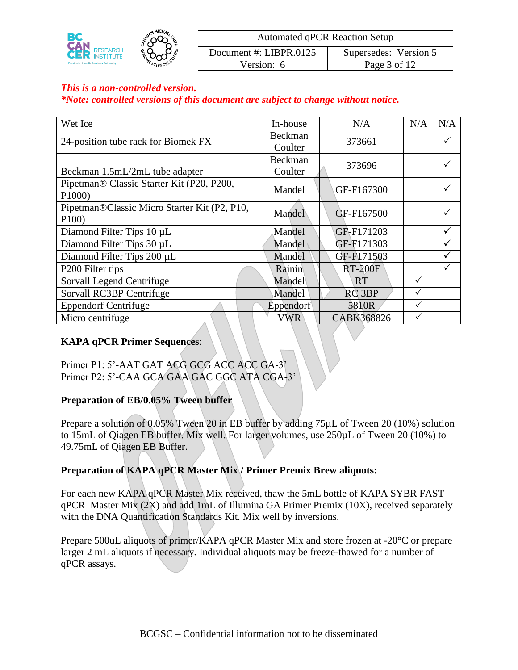

#### *\*Note: controlled versions of this document are subject to change without notice.*

| Wet Ice                                              | In-house                  | N/A               | N/A          | N/A |
|------------------------------------------------------|---------------------------|-------------------|--------------|-----|
| 24-position tube rack for Biomek FX                  | Beckman                   | 373661            |              | ✓   |
|                                                      | Coulter                   |                   |              |     |
| Beckman 1.5mL/2mL tube adapter                       | <b>Beckman</b><br>Coulter | 373696            |              |     |
| Pipetman® Classic Starter Kit (P20, P200,<br>P1000)  | Mandel                    | GF-F167300        |              |     |
| Pipetman®Classic Micro Starter Kit (P2, P10,<br>P100 | Mandel                    | GF-F167500        |              |     |
| Diamond Filter Tips 10 µL                            | Mandel                    | GF-F171203        |              | ✓   |
| Diamond Filter Tips 30 µL                            | Mandel                    | GF-F171303        |              | ✓   |
| Diamond Filter Tips 200 µL                           | Mandel                    | GF-F171503        |              | ✓   |
| P <sub>200</sub> Filter tips                         | Rainin                    | <b>RT-200F</b>    |              | ✓   |
| Sorvall Legend Centrifuge                            | Mandel                    | <b>RT</b>         | $\checkmark$ |     |
| Sorvall RC3BP Centrifuge                             | Mandel                    | RC <sub>3BP</sub> |              |     |
| <b>Eppendorf Centrifuge</b>                          | Eppendorf                 | 5810R             | $\checkmark$ |     |
| Micro centrifuge                                     | <b>VWR</b>                | CABK368826        | ✓            |     |

## **KAPA qPCR Primer Sequences**:

Primer P1: 5'-AAT GAT ACG GCG ACC ACC GA-3' Primer P2: 5'-CAA GCA GAA GAC GGC ATA CGA-3'

#### **Preparation of EB/0.05% Tween buffer**

Prepare a solution of 0.05% Tween 20 in EB buffer by adding 75µL of Tween 20 (10%) solution to 15mL of Qiagen EB buffer. Mix well. For larger volumes, use 250µL of Tween 20 (10%) to 49.75mL of Qiagen EB Buffer.

## **Preparation of KAPA qPCR Master Mix / Primer Premix Brew aliquots:**

For each new KAPA qPCR Master Mix received, thaw the 5mL bottle of KAPA SYBR FAST qPCR Master Mix (2X) and add 1mL of Illumina GA Primer Premix (10X), received separately with the DNA Quantification Standards Kit. Mix well by inversions.

Prepare 500uL aliquots of primer/KAPA qPCR Master Mix and store frozen at -20**°**C or prepare larger 2 mL aliquots if necessary. Individual aliquots may be freeze-thawed for a number of qPCR assays.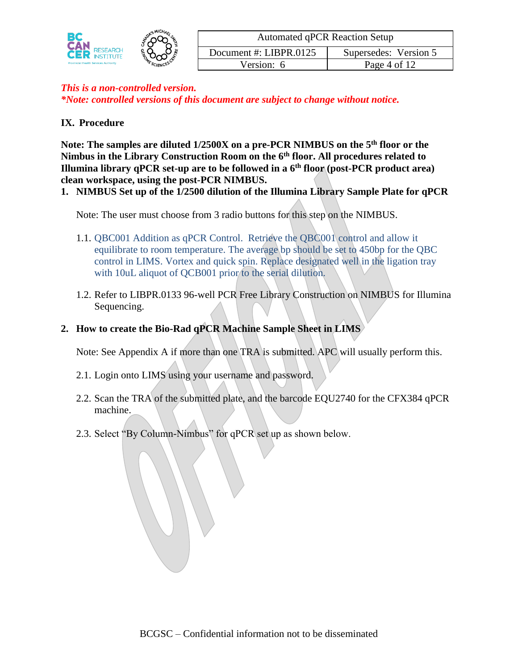|                                             | - MICHAP   | <b>Automated qPCR Reaction Setup</b> |                       |  |  |
|---------------------------------------------|------------|--------------------------------------|-----------------------|--|--|
| RESEARCH<br><b>FITUTE</b>                   |            | Document #: LIBPR.0125               | Supersedes: Version 5 |  |  |
| <b>Provincial Health Services Authority</b> | MESCIENCES | Version: 6                           | Page 4 of 12          |  |  |

## **IX. Procedure**

**Note: The samples are diluted 1/2500X on a pre-PCR NIMBUS on the 5th floor or the Nimbus in the Library Construction Room on the 6th floor. All procedures related to Illumina library qPCR set-up are to be followed in a 6th floor (post-PCR product area) clean workspace, using the post-PCR NIMBUS.**

**1. NIMBUS Set up of the 1/2500 dilution of the Illumina Library Sample Plate for qPCR**

Note: The user must choose from 3 radio buttons for this step on the NIMBUS.

- 1.1. QBC001 Addition as qPCR Control. Retrieve the QBC001 control and allow it equilibrate to room temperature. The average bp should be set to 450bp for the QBC control in LIMS. Vortex and quick spin. Replace designated well in the ligation tray with 10uL aliquot of QCB001 prior to the serial dilution.
- 1.2. Refer to LIBPR.0133 96-well PCR Free Library Construction on NIMBUS for Illumina Sequencing.
- **2. How to create the Bio-Rad qPCR Machine Sample Sheet in LIMS**

Note: See Appendix A if more than one TRA is submitted. APC will usually perform this.

- 2.1. Login onto LIMS using your username and password.
- 2.2. Scan the TRA of the submitted plate, and the barcode EQU2740 for the CFX384 qPCR machine.
- 2.3. Select "By Column-Nimbus" for qPCR set up as shown below.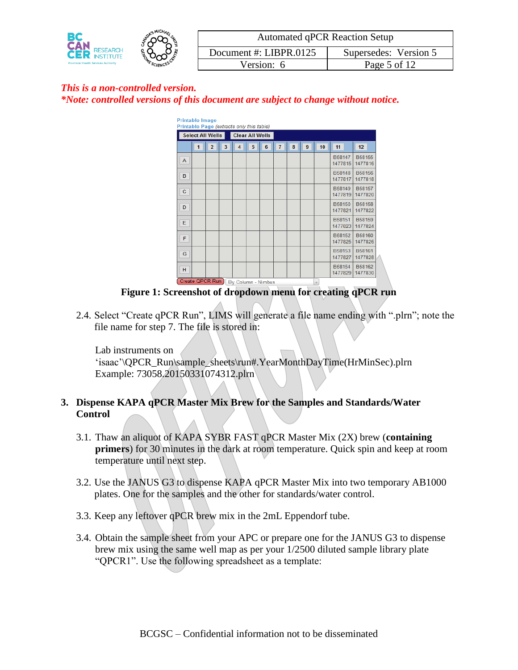

| <b>Printable Image</b><br>Printable Page (extracts only this table) |                                       |                |   |                |                        |   |                |   |   |    |                   |                          |
|---------------------------------------------------------------------|---------------------------------------|----------------|---|----------------|------------------------|---|----------------|---|---|----|-------------------|--------------------------|
|                                                                     | <b>Select All Wells</b>               |                |   |                | <b>Clear All Wells</b> |   |                |   |   |    |                   |                          |
|                                                                     | $\overline{1}$                        | $\overline{2}$ | 3 | $\overline{A}$ | 5                      | 6 | $\overline{7}$ | 8 | 9 | 10 | 11                | 12                       |
| A                                                                   |                                       |                |   |                |                        |   |                |   |   |    | B58147<br>1477815 | B58155<br>1477816        |
| в                                                                   |                                       |                |   |                |                        |   |                |   |   |    | B58148<br>1477817 | <b>B58156</b><br>1477818 |
| c                                                                   |                                       |                |   |                |                        |   |                |   |   |    | B58149<br>1477819 | B58157<br>1477820        |
| D                                                                   |                                       |                |   |                |                        |   |                |   |   |    | B58150<br>1477821 | <b>B58158</b><br>1477822 |
| Е                                                                   |                                       |                |   |                |                        |   |                |   |   |    | B58151<br>1477823 | B58159<br>1477824        |
| F                                                                   |                                       |                |   |                |                        |   |                |   |   |    | B58152<br>1477825 | B58160<br>1477826        |
| G                                                                   |                                       |                |   |                |                        |   |                |   |   |    | B58153<br>1477827 | B58161<br>1477828        |
| H                                                                   |                                       |                |   |                |                        |   |                |   |   |    | B58154<br>1477829 | B58162<br>1477830        |
|                                                                     | Create QPCR Run<br>By Column - Nimbus |                |   |                |                        |   | $\mathbf{v}$   |   |   |    |                   |                          |

**Figure 1: Screenshot of dropdown menu for creating qPCR run**

2.4. Select "Create qPCR Run", LIMS will generate a file name ending with ".plrn"; note the file name for step 7. The file is stored in:

Lab instruments on

'isaac'\QPCR\_Run\sample\_sheets\run#.YearMonthDayTime(HrMinSec).plrn Example: 73058.20150331074312.plrn

# **3. Dispense KAPA qPCR Master Mix Brew for the Samples and Standards/Water Control**

- 3.1. Thaw an aliquot of KAPA SYBR FAST qPCR Master Mix (2X) brew (**containing primers**) for 30 minutes in the dark at room temperature. Quick spin and keep at room temperature until next step.
- 3.2. Use the JANUS G3 to dispense KAPA qPCR Master Mix into two temporary AB1000 plates. One for the samples and the other for standards/water control.
- 3.3. Keep any leftover qPCR brew mix in the 2mL Eppendorf tube.
- 3.4. Obtain the sample sheet from your APC or prepare one for the JANUS G3 to dispense brew mix using the same well map as per your 1/2500 diluted sample library plate "QPCR1". Use the following spreadsheet as a template: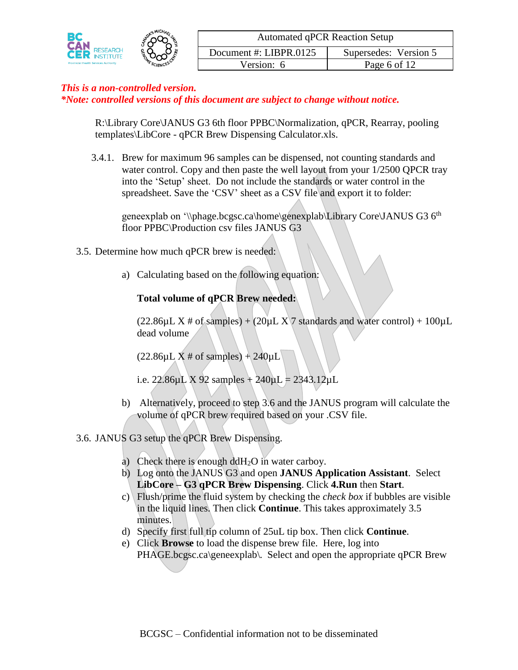

*\*Note: controlled versions of this document are subject to change without notice.*

R:\Library Core\JANUS G3 6th floor PPBC\Normalization, qPCR, Rearray, pooling templates\LibCore - qPCR Brew Dispensing Calculator.xls.

3.4.1. Brew for maximum 96 samples can be dispensed, not counting standards and water control. Copy and then paste the well layout from your 1/2500 QPCR tray into the 'Setup' sheet. Do not include the standards or water control in the spreadsheet. Save the 'CSV' sheet as a CSV file and export it to folder:

geneexplab on '\\phage.bcgsc.ca\home\genexplab\Library Core\JANUS G3 6<sup>th</sup> floor PPBC\Production csv files JANUS G3

- 3.5. Determine how much qPCR brew is needed:
	- a) Calculating based on the following equation:

## **Total volume of qPCR Brew needed:**

 $(22.86\mu L X \# of samples) + (20\mu L X) 7 standards$  and water control + 100 $\mu$ L dead volume

 $(22.86 \mu L X \# of samples) + 240 \mu L$ 

i.e. 22.86 $\mu$ L X 92 samples + 240 $\mu$ L = 2343.12 $\mu$ L

- b) Alternatively, proceed to step 3.6 and the JANUS program will calculate the volume of qPCR brew required based on your .CSV file.
- 3.6. JANUS G3 setup the qPCR Brew Dispensing.
	- a) Check there is enough ddH<sub>2</sub>O in water carboy.
	- b) Log onto the JANUS G3 and open **JANUS Application Assistant**. Select **LibCore – G3 qPCR Brew Dispensing**. Click **4.Run** then **Start**.
	- c) Flush/prime the fluid system by checking the *check box* if bubbles are visible in the liquid lines. Then click **Continue**. This takes approximately 3.5 minutes.
	- d) Specify first full tip column of 25uL tip box. Then click **Continue**.
	- e) Click **Browse** to load the dispense brew file. Here, log into PHAGE.bcgsc.ca\geneexplab\. Select and open the appropriate qPCR Brew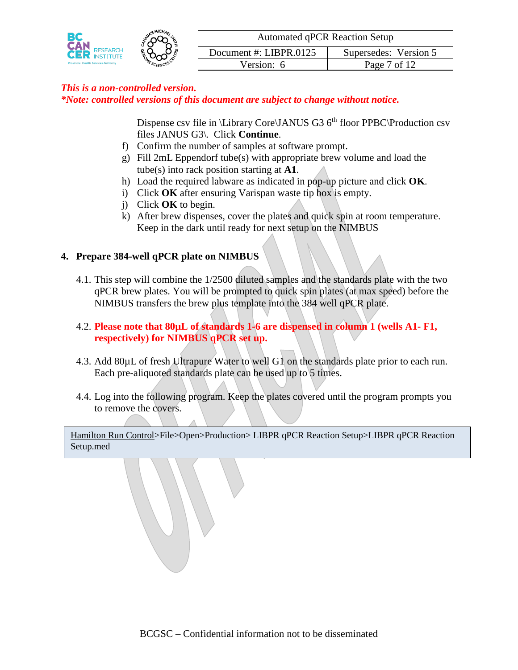

Dispense csv file in \Library Core\JANUS G3  $6<sup>th</sup>$  floor PPBC\Production csv files JANUS G3\. Click **Continue**.

- f) Confirm the number of samples at software prompt.
- g) Fill 2mL Eppendorf tube(s) with appropriate brew volume and load the tube(s) into rack position starting at **A1**.
- h) Load the required labware as indicated in pop-up picture and click **OK**.
- i) Click **OK** after ensuring Varispan waste tip box is empty.
- j) Click **OK** to begin.
- k) After brew dispenses, cover the plates and quick spin at room temperature. Keep in the dark until ready for next setup on the NIMBUS

# **4. Prepare 384-well qPCR plate on NIMBUS**

- 4.1. This step will combine the 1/2500 diluted samples and the standards plate with the two qPCR brew plates. You will be prompted to quick spin plates (at max speed) before the NIMBUS transfers the brew plus template into the 384 well qPCR plate.
- 4.2. **Please note that 80µL of standards 1-6 are dispensed in column 1 (wells A1- F1, respectively) for NIMBUS qPCR set up.**
- 4.3. Add 80µL of fresh Ultrapure Water to well G1 on the standards plate prior to each run. Each pre-aliquoted standards plate can be used up to 5 times.
- 4.4. Log into the following program. Keep the plates covered until the program prompts you to remove the covers.

Hamilton Run Control>File>Open>Production> LIBPR qPCR Reaction Setup>LIBPR qPCR Reaction Setup.med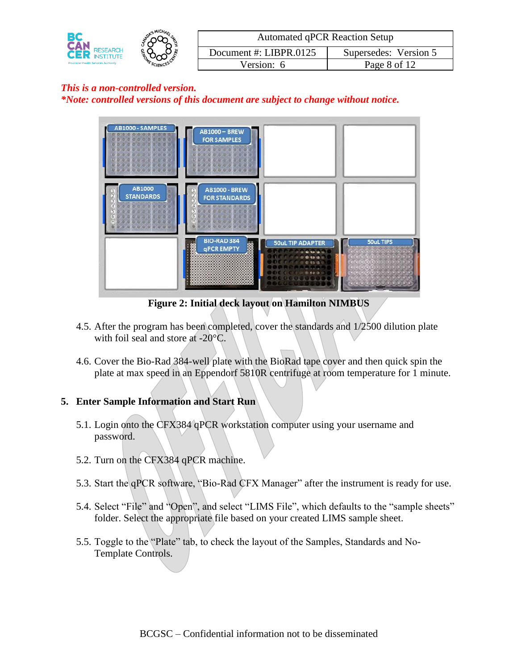|                                             | <b>MICHA</b> | <b>Automated qPCR Reaction Setup</b> |                       |  |  |
|---------------------------------------------|--------------|--------------------------------------|-----------------------|--|--|
| RESEARCH                                    | .            | Document #: LIBPR.0125               | Supersedes: Version 5 |  |  |
| <b>Provincial Health Services Authority</b> | MESCIENCES   | Version: $6$                         | Page 8 of 12          |  |  |

*\*Note: controlled versions of this document are subject to change without notice.*



**Figure 2: Initial deck layout on Hamilton NIMBUS**

- 4.5. After the program has been completed, cover the standards and 1/2500 dilution plate with foil seal and store at -20°C.
- 4.6. Cover the Bio-Rad 384-well plate with the BioRad tape cover and then quick spin the plate at max speed in an Eppendorf 5810R centrifuge at room temperature for 1 minute.

## **5. Enter Sample Information and Start Run**

- 5.1. Login onto the CFX384 qPCR workstation computer using your username and password.
- 5.2. Turn on the CFX384 qPCR machine.
- 5.3. Start the qPCR software, "Bio-Rad CFX Manager" after the instrument is ready for use.
- 5.4. Select "File" and "Open", and select "LIMS File", which defaults to the "sample sheets" folder. Select the appropriate file based on your created LIMS sample sheet.
- 5.5. Toggle to the "Plate" tab, to check the layout of the Samples, Standards and No-Template Controls.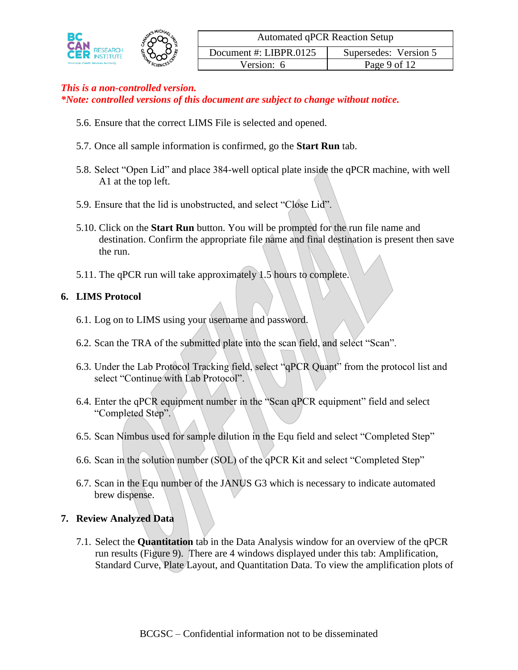

|     | Document # |
|-----|------------|
| 300 |            |

| <b>Automated qPCR Reaction Setup</b>            |              |  |  |  |
|-------------------------------------------------|--------------|--|--|--|
| Document #: LIBPR.0125<br>Supersedes: Version 5 |              |  |  |  |
| Version: 6                                      | Page 9 of 12 |  |  |  |

*\*Note: controlled versions of this document are subject to change without notice.*

- 5.6. Ensure that the correct LIMS File is selected and opened.
- 5.7. Once all sample information is confirmed, go the **Start Run** tab.
- 5.8. Select "Open Lid" and place 384-well optical plate inside the qPCR machine, with well A1 at the top left.
- 5.9. Ensure that the lid is unobstructed, and select "Close Lid".
- 5.10. Click on the **Start Run** button. You will be prompted for the run file name and destination. Confirm the appropriate file name and final destination is present then save the run.
- 5.11. The qPCR run will take approximately 1.5 hours to complete.

#### **6. LIMS Protocol**

- 6.1. Log on to LIMS using your username and password.
- 6.2. Scan the TRA of the submitted plate into the scan field, and select "Scan".
- 6.3. Under the Lab Protocol Tracking field, select "qPCR Quant" from the protocol list and select "Continue with Lab Protocol".
- 6.4. Enter the qPCR equipment number in the "Scan qPCR equipment" field and select "Completed Step".
- 6.5. Scan Nimbus used for sample dilution in the Equ field and select "Completed Step"
- 6.6. Scan in the solution number (SOL) of the qPCR Kit and select "Completed Step"
- 6.7. Scan in the Equ number of the JANUS G3 which is necessary to indicate automated brew dispense.

## **7. Review Analyzed Data**

7.1. Select the **Quantitation** tab in the Data Analysis window for an overview of the qPCR run results (Figure 9). There are 4 windows displayed under this tab: Amplification, Standard Curve, Plate Layout, and Quantitation Data. To view the amplification plots of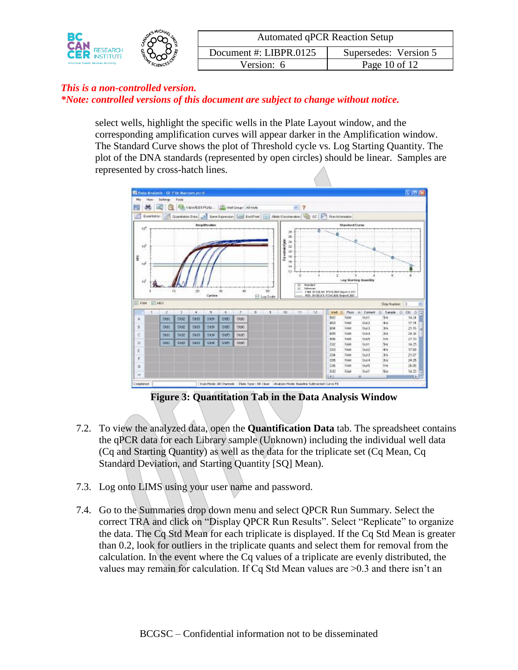|                                             | <b>MICHAL</b> | <b>Automated qPCR Reaction Setup</b> |                       |
|---------------------------------------------|---------------|--------------------------------------|-----------------------|
| <b>RESEARCH</b>                             |               | Document #: LIBPR.0125               | Supersedes: Version 5 |
| <b>Provincial Health Services Authority</b> | SCIENCE       | Version: 6                           | Page $10$ of $12$     |

select wells, highlight the specific wells in the Plate Layout window, and the corresponding amplification curves will appear darker in the Amplification window. The Standard Curve shows the plot of Threshold cycle vs. Log Starting Quantity. The plot of the DNA standards (represented by open circles) should be linear. Samples are represented by cross-hatch lines.



**Figure 3: Quantitation Tab in the Data Analysis Window**

- 7.2. To view the analyzed data, open the **Quantification Data** tab. The spreadsheet contains the qPCR data for each Library sample (Unknown) including the individual well data (Cq and Starting Quantity) as well as the data for the triplicate set (Cq Mean, Cq Standard Deviation, and Starting Quantity [SQ] Mean).
- 7.3. Log onto LIMS using your user name and password.
- 7.4. Go to the Summaries drop down menu and select QPCR Run Summary. Select the correct TRA and click on "Display QPCR Run Results". Select "Replicate" to organize the data. The Cq Std Mean for each triplicate is displayed. If the Cq Std Mean is greater than 0.2, look for outliers in the triplicate quants and select them for removal from the calculation. In the event where the Cq values of a triplicate are evenly distributed, the values may remain for calculation. If Cq Std Mean values are  $>0.3$  and there isn't an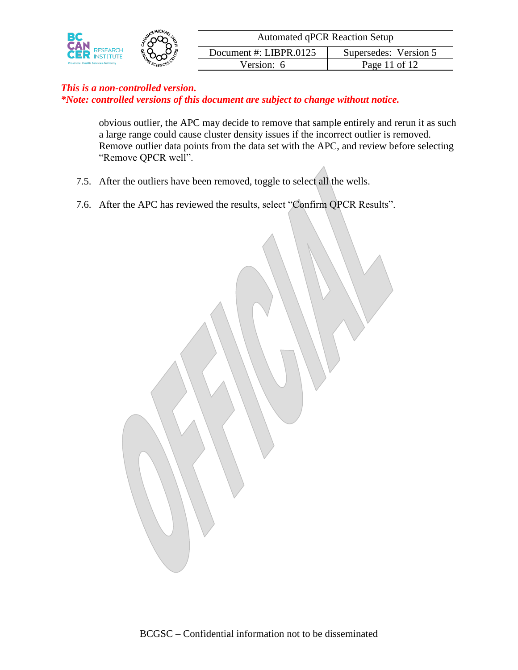

obvious outlier, the APC may decide to remove that sample entirely and rerun it as such a large range could cause cluster density issues if the incorrect outlier is removed. Remove outlier data points from the data set with the APC, and review before selecting "Remove QPCR well".

- 7.5. After the outliers have been removed, toggle to select all the wells.
- 7.6. After the APC has reviewed the results, select "Confirm QPCR Results".